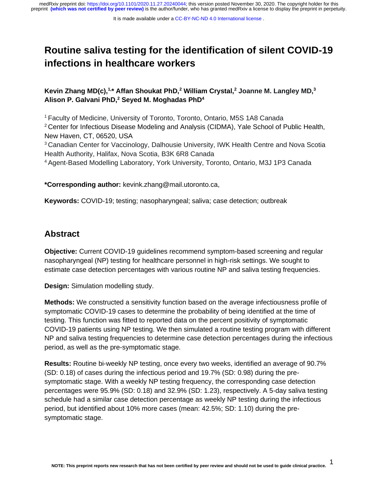# **Routine saliva testing for the identification of silent COVID-19 infections in healthcare workers**

**Kevin Zhang MD(c),1,\* Affan Shoukat PhD,<sup>2</sup> William Crystal,<sup>2</sup> Joanne M. Langley MD,<sup>3</sup> Alison P. Galvani PhD,<sup>2</sup> Seyed M. Moghadas PhD<sup>4</sup>**

<sup>1</sup>Faculty of Medicine, University of Toronto, Toronto, Ontario, M5S 1A8 Canada

<sup>2</sup> Center for Infectious Disease Modeling and Analysis (CIDMA), Yale School of Public Health, New Haven, CT, 06520, USA

<sup>3</sup> Canadian Center for Vaccinology, Dalhousie University, IWK Health Centre and Nova Scotia Health Authority, Halifax, Nova Scotia, B3K 6R8 Canada

<sup>4</sup>Agent-Based Modelling Laboratory, York University, Toronto, Ontario, M3J 1P3 Canada

**\*Corresponding author:** kevink.zhang@mail.utoronto.ca,

**Keywords:** COVID-19; testing; nasopharyngeal; saliva; case detection; outbreak

### **Abstract**

**Objective:** Current COVID-19 guidelines recommend symptom-based screening and regular nasopharyngeal (NP) testing for healthcare personnel in high-risk settings. We sought to estimate case detection percentages with various routine NP and saliva testing frequencies.

**Design:** Simulation modelling study.

**Methods:** We constructed a sensitivity function based on the average infectiousness profile of symptomatic COVID-19 cases to determine the probability of being identified at the time of testing. This function was fitted to reported data on the percent positivity of symptomatic COVID-19 patients using NP testing. We then simulated a routine testing program with different NP and saliva testing frequencies to determine case detection percentages during the infectious period, as well as the pre-symptomatic stage.

**Results:** Routine bi-weekly NP testing, once every two weeks, identified an average of 90.7% (SD: 0.18) of cases during the infectious period and 19.7% (SD: 0.98) during the presymptomatic stage. With a weekly NP testing frequency, the corresponding case detection percentages were 95.9% (SD: 0.18) and 32.9% (SD: 1.23), respectively. A 5-day saliva testing schedule had a similar case detection percentage as weekly NP testing during the infectious period, but identified about 10% more cases (mean: 42.5%; SD: 1.10) during the presymptomatic stage.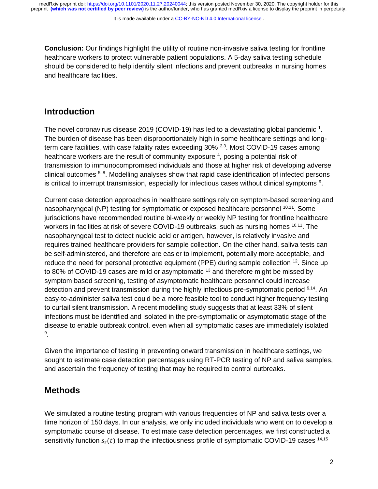It is made available under a [CC-BY-NC-ND 4.0 International license](http://creativecommons.org/licenses/by-nc-nd/4.0/) .

**Conclusion:** Our findings highlight the utility of routine non-invasive saliva testing for frontline healthcare workers to protect vulnerable patient populations. A 5-day saliva testing schedule should be considered to help identify silent infections and prevent outbreaks in nursing homes and healthcare facilities.

### **Introduction**

The novel coronavirus disease 2019 (COVID-19) has led to a devastating global pandemic  $1$ . The burden of disease has been disproportionately high in some healthcare settings and longterm care facilities, with case fatality rates exceeding 30% <sup>2,3</sup>. Most COVID-19 cases among healthcare workers are the result of community exposure  $4$ , posing a potential risk of transmission to immunocompromised individuals and those at higher risk of developing adverse clinical outcomes <sup>5-8</sup>. Modelling analyses show that rapid case identification of infected persons is critical to interrupt transmission, especially for infectious cases without clinical symptoms  $9$ .

Current case detection approaches in healthcare settings rely on symptom-based screening and nasopharyngeal (NP) testing for symptomatic or exposed healthcare personnel <sup>10,11</sup>. Some jurisdictions have recommended routine bi-weekly or weekly NP testing for frontline healthcare workers in facilities at risk of severe COVID-19 outbreaks, such as nursing homes  $10,11$ . The nasopharyngeal test to detect nucleic acid or antigen, however, is relatively invasive and requires trained healthcare providers for sample collection. On the other hand, saliva tests can be self-administered, and therefore are easier to implement, potentially more acceptable, and reduce the need for personal protective equipment (PPE) during sample collection <sup>12</sup>. Since up to 80% of COVID-19 cases are mild or asymptomatic  $13$  and therefore might be missed by symptom based screening, testing of asymptomatic healthcare personnel could increase detection and prevent transmission during the highly infectious pre-symptomatic period <sup>9,14</sup>. An easy-to-administer saliva test could be a more feasible tool to conduct higher frequency testing to curtail silent transmission. A recent modelling study suggests that at least 33% of silent infections must be identified and isolated in the pre-symptomatic or asymptomatic stage of the disease to enable outbreak control, even when all symptomatic cases are immediately isolated 9 .

Given the importance of testing in preventing onward transmission in healthcare settings, we sought to estimate case detection percentages using RT-PCR testing of NP and saliva samples, and ascertain the frequency of testing that may be required to control outbreaks.

# **Methods**

We simulated a routine testing program with various frequencies of NP and saliva tests over a time horizon of 150 days. In our analysis, we only included individuals who went on to develop a symptomatic course of disease. To estimate case detection percentages, we first constructed a sensitivity function  $s_r(t)$  to map the infectiousness profile of symptomatic COVID-19 cases  $14,15$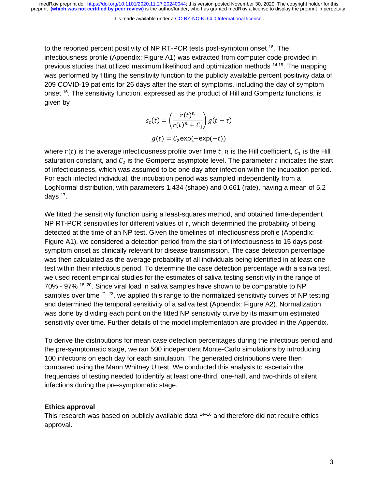It is made available under a [CC-BY-NC-ND 4.0 International license](http://creativecommons.org/licenses/by-nc-nd/4.0/) .

to the reported percent positivity of NP RT-PCR tests post-symptom onset <sup>16</sup>. The infectiousness profile (Appendix: Figure A1) was extracted from computer code provided in previous studies that utilized maximum likelihood and optimization methods 14,15. The mapping was performed by fitting the sensitivity function to the publicly available percent positivity data of 209 COVID-19 patients for 26 days after the start of symptoms, including the day of symptom onset <sup>16</sup>. The sensitivity function, expressed as the product of Hill and Gompertz functions, is given by

> $s_{\tau}(t) =$  $r(t)^n$  $\int_0^{\infty} \frac{f(t)}{r(t)^n + C_1} f(t) dt = \tau$  $g(t) = C_2 \exp(-\exp(-t))$

where  $r(t)$  is the average infectiousness profile over time t, n is the Hill coefficient,  $C_1$  is the Hill saturation constant, and  $C_2$  is the Gompertz asymptote level. The parameter  $\tau$  indicates the start of infectiousness, which was assumed to be one day after infection within the incubation period. For each infected individual, the incubation period was sampled independently from a LogNormal distribution, with parameters 1.434 (shape) and 0.661 (rate), having a mean of 5.2 days <sup>17</sup>.

We fitted the sensitivity function using a least-squares method, and obtained time-dependent NP RT-PCR sensitivities for different values of  $\tau$ , which determined the probability of being detected at the time of an NP test. Given the timelines of infectiousness profile (Appendix: Figure A1), we considered a detection period from the start of infectiousness to 15 days postsymptom onset as clinically relevant for disease transmission. The case detection percentage was then calculated as the average probability of all individuals being identified in at least one test within their infectious period. To determine the case detection percentage with a saliva test, we used recent empirical studies for the estimates of saliva testing sensitivity in the range of  $70\%$  - 97%  $18-20$ . Since viral load in saliva samples have shown to be comparable to NP samples over time  $2^{1-23}$ , we applied this range to the normalized sensitivity curves of NP testing and determined the temporal sensitivity of a saliva test (Appendix: Figure A2). Normalization was done by dividing each point on the fitted NP sensitivity curve by its maximum estimated sensitivity over time. Further details of the model implementation are provided in the Appendix.

To derive the distributions for mean case detection percentages during the infectious period and the pre-symptomatic stage, we ran 500 independent Monte-Carlo simulations by introducing 100 infections on each day for each simulation. The generated distributions were then compared using the Mann Whitney U test. We conducted this analysis to ascertain the frequencies of testing needed to identify at least one-third, one-half, and two-thirds of silent infections during the pre-symptomatic stage.

#### **Ethics approval**

This research was based on publicly available data  $14-16$  and therefore did not require ethics approval.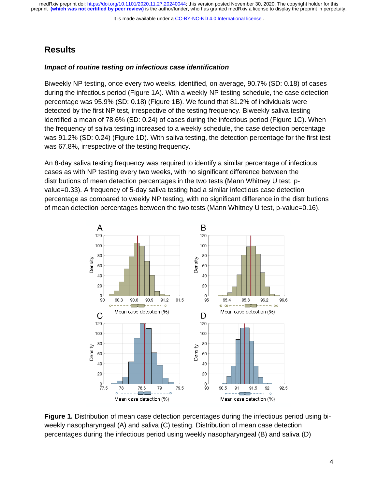It is made available under a [CC-BY-NC-ND 4.0 International license](http://creativecommons.org/licenses/by-nc-nd/4.0/) .

#### **Results**

#### *Impact of routine testing on infectious case identification*

Biweekly NP testing, once every two weeks, identified, on average, 90.7% (SD: 0.18) of cases during the infectious period (Figure 1A). With a weekly NP testing schedule, the case detection percentage was 95.9% (SD: 0.18) (Figure 1B). We found that 81.2% of individuals were detected by the first NP test, irrespective of the testing frequency. Biweekly saliva testing identified a mean of 78.6% (SD: 0.24) of cases during the infectious period (Figure 1C). When the frequency of saliva testing increased to a weekly schedule, the case detection percentage was 91.2% (SD: 0.24) (Figure 1D). With saliva testing, the detection percentage for the first test was 67.8%, irrespective of the testing frequency.

An 8-day saliva testing frequency was required to identify a similar percentage of infectious cases as with NP testing every two weeks, with no significant difference between the distributions of mean detection percentages in the two tests (Mann Whitney U test, pvalue=0.33). A frequency of 5-day saliva testing had a similar infectious case detection percentage as compared to weekly NP testing, with no significant difference in the distributions of mean detection percentages between the two tests (Mann Whitney U test, p-value=0.16).



**Figure 1.** Distribution of mean case detection percentages during the infectious period using biweekly nasopharyngeal (A) and saliva (C) testing. Distribution of mean case detection percentages during the infectious period using weekly nasopharyngeal (B) and saliva (D)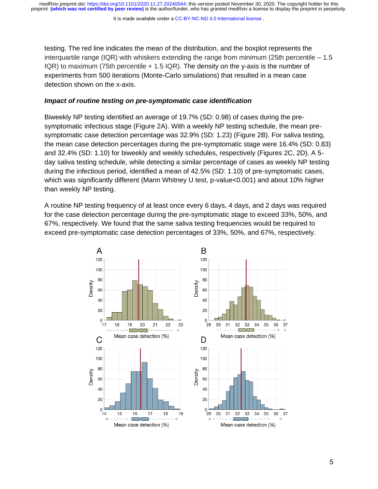It is made available under a [CC-BY-NC-ND 4.0 International license](http://creativecommons.org/licenses/by-nc-nd/4.0/) .

testing. The red line indicates the mean of the distribution, and the boxplot represents the interquartile range (IQR) with whiskers extending the range from minimum (25th percentile  $-1.5$ IQR) to maximum (75th percentile + 1.5 IQR). The density on the y-axis is the number of experiments from 500 iterations (Monte-Carlo simulations) that resulted in a mean case detection shown on the x-axis.

#### *Impact of routine testing on pre-symptomatic case identification*

Biweekly NP testing identified an average of 19.7% (SD: 0.98) of cases during the presymptomatic infectious stage (Figure 2A). With a weekly NP testing schedule, the mean presymptomatic case detection percentage was 32.9% (SD: 1.23) (Figure 2B). For saliva testing, the mean case detection percentages during the pre-symptomatic stage were 16.4% (SD: 0.83) and 32.4% (SD: 1.10) for biweekly and weekly schedules, respectively (Figures 2C, 2D). A 5 day saliva testing schedule, while detecting a similar percentage of cases as weekly NP testing during the infectious period, identified a mean of 42.5% (SD: 1.10) of pre-symptomatic cases, which was significantly different (Mann Whitney U test, p-value<0.001) and about 10% higher than weekly NP testing.

A routine NP testing frequency of at least once every 6 days, 4 days, and 2 days was required for the case detection percentage during the pre-symptomatic stage to exceed 33%, 50%, and 67%, respectively. We found that the same saliva testing frequencies would be required to exceed pre-symptomatic case detection percentages of 33%, 50%, and 67%, respectively.

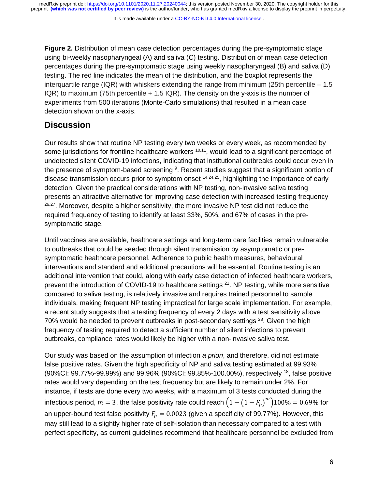It is made available under a [CC-BY-NC-ND 4.0 International license](http://creativecommons.org/licenses/by-nc-nd/4.0/) .

**Figure 2.** Distribution of mean case detection percentages during the pre-symptomatic stage using bi-weekly nasopharyngeal (A) and saliva (C) testing. Distribution of mean case detection percentages during the pre-symptomatic stage using weekly nasopharyngeal (B) and saliva (D) testing. The red line indicates the mean of the distribution, and the boxplot represents the interquartile range (IQR) with whiskers extending the range from minimum (25th percentile  $-1.5$ IQR) to maximum (75th percentile + 1.5 IQR). The density on the y-axis is the number of experiments from 500 iterations (Monte-Carlo simulations) that resulted in a mean case detection shown on the x-axis.

### **Discussion**

Our results show that routine NP testing every two weeks or every week, as recommended by some jurisdictions for frontline healthcare workers <sup>10,11</sup>, would lead to a significant percentage of undetected silent COVID-19 infections, indicating that institutional outbreaks could occur even in the presence of symptom-based screening <sup>9</sup>. Recent studies suggest that a significant portion of disease transmission occurs prior to symptom onset  $14,24,25$ , highlighting the importance of early detection. Given the practical considerations with NP testing, non-invasive saliva testing presents an attractive alternative for improving case detection with increased testing frequency  $26,27$ . Moreover, despite a higher sensitivity, the more invasive NP test did not reduce the required frequency of testing to identify at least 33%, 50%, and 67% of cases in the presymptomatic stage.

Until vaccines are available, healthcare settings and long-term care facilities remain vulnerable to outbreaks that could be seeded through silent transmission by asymptomatic or presymptomatic healthcare personnel. Adherence to public health measures, behavioural interventions and standard and additional precautions will be essential. Routine testing is an additional intervention that could, along with early case detection of infected healthcare workers, prevent the introduction of COVID-19 to healthcare settings <sup>21</sup>. NP testing, while more sensitive compared to saliva testing, is relatively invasive and requires trained personnel to sample individuals, making frequent NP testing impractical for large scale implementation. For example, a recent study suggests that a testing frequency of every 2 days with a test sensitivity above 70% would be needed to prevent outbreaks in post-secondary settings <sup>28</sup>. Given the high frequency of testing required to detect a sufficient number of silent infections to prevent outbreaks, compliance rates would likely be higher with a non-invasive saliva test.

Our study was based on the assumption of infection *a priori*, and therefore, did not estimate false positive rates. Given the high specificity of NP and saliva testing estimated at 99.93% (90%CI: 99.77%-99.99%) and 99.96% (90%CI: 99.85%-100.00%), respectively <sup>18</sup>, false positive rates would vary depending on the test frequency but are likely to remain under 2%. For instance, if tests are done every two weeks, with a maximum of 3 tests conducted during the infectious period,  $m=3$ , the false positivity rate could reach  $\left(1-\left(1-F_p\right)^m\right)$ 100% = 0.69% for an upper-bound test false positivity  $F_p = 0.0023$  (given a specificity of 99.77%). However, this may still lead to a slightly higher rate of self-isolation than necessary compared to a test with perfect specificity, as current guidelines recommend that healthcare personnel be excluded from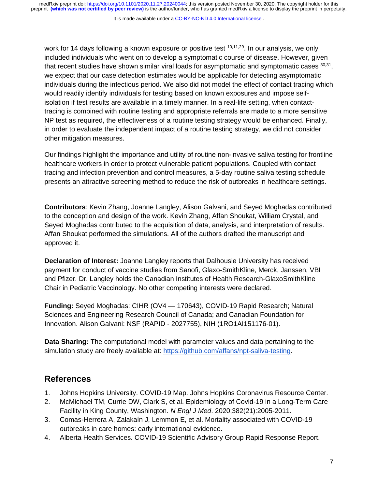It is made available under a [CC-BY-NC-ND 4.0 International license](http://creativecommons.org/licenses/by-nc-nd/4.0/) .

work for 14 days following a known exposure or positive test  $10,11,29$ . In our analysis, we only included individuals who went on to develop a symptomatic course of disease. However, given that recent studies have shown similar viral loads for asymptomatic and symptomatic cases  $^{30,31}$ , we expect that our case detection estimates would be applicable for detecting asymptomatic individuals during the infectious period. We also did not model the effect of contact tracing which would readily identify individuals for testing based on known exposures and impose selfisolation if test results are available in a timely manner. In a real-life setting, when contacttracing is combined with routine testing and appropriate referrals are made to a more sensitive NP test as required, the effectiveness of a routine testing strategy would be enhanced. Finally, in order to evaluate the independent impact of a routine testing strategy, we did not consider other mitigation measures.

Our findings highlight the importance and utility of routine non-invasive saliva testing for frontline healthcare workers in order to protect vulnerable patient populations. Coupled with contact tracing and infection prevention and control measures, a 5-day routine saliva testing schedule presents an attractive screening method to reduce the risk of outbreaks in healthcare settings.

**Contributors**: Kevin Zhang, Joanne Langley, Alison Galvani, and Seyed Moghadas contributed to the conception and design of the work. Kevin Zhang, Affan Shoukat, William Crystal, and Seyed Moghadas contributed to the acquisition of data, analysis, and interpretation of results. Affan Shoukat performed the simulations. All of the authors drafted the manuscript and approved it.

**Declaration of Interest:** Joanne Langley reports that Dalhousie University has received payment for conduct of vaccine studies from Sanofi, Glaxo-SmithKline, Merck, Janssen, VBI and Pfizer. Dr. Langley holds the Canadian Institutes of Health Research-GlaxoSmithKline Chair in Pediatric Vaccinology. No other competing interests were declared.

**Funding:** Seyed Moghadas: CIHR (OV4 — 170643), COVID-19 Rapid Research; Natural Sciences and Engineering Research Council of Canada; and Canadian Foundation for Innovation. Alison Galvani: NSF (RAPID - 2027755), NIH (1RO1AI151176-01).

**Data Sharing:** The computational model with parameter values and data pertaining to the simulation study are freely available at: https://github.com/affans/npt-saliva-testing.

# **References**

- 1. Johns Hopkins University. COVID-19 Map. Johns Hopkins Coronavirus Resource Center.
- 2. McMichael TM, Currie DW, Clark S, et al. Epidemiology of Covid-19 in a Long-Term Care Facility in King County, Washington. *N Engl J Med*. 2020;382(21):2005-2011.
- 3. Comas-Herrera A, Zalakaín J, Lemmon E, et al. Mortality associated with COVID-19 outbreaks in care homes: early international evidence.
- 4. Alberta Health Services. COVID-19 Scientific Advisory Group Rapid Response Report.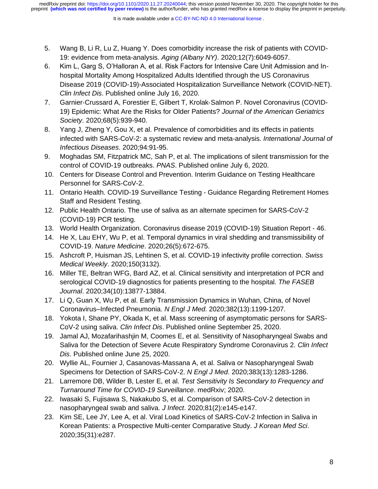- 5. Wang B, Li R, Lu Z, Huang Y. Does comorbidity increase the risk of patients with COVID-19: evidence from meta-analysis. *Aging (Albany NY)*. 2020;12(7):6049-6057.
- 6. Kim L, Garg S, O'Halloran A, et al. Risk Factors for Intensive Care Unit Admission and Inhospital Mortality Among Hospitalized Adults Identified through the US Coronavirus Disease 2019 (COVID-19)-Associated Hospitalization Surveillance Network (COVID-NET). *Clin Infect Dis*. Published online July 16, 2020.
- 7. Garnier‐Crussard A, Forestier E, Gilbert T, Krolak‐Salmon P. Novel Coronavirus (COVID-19) Epidemic: What Are the Risks for Older Patients? *Journal of the American Geriatrics Society*. 2020;68(5):939-940.
- 8. Yang J, Zheng Y, Gou X, et al. Prevalence of comorbidities and its effects in patients infected with SARS-CoV-2: a systematic review and meta-analysis. *International Journal of Infectious Diseases*. 2020;94:91-95.
- 9. Moghadas SM, Fitzpatrick MC, Sah P, et al. The implications of silent transmission for the control of COVID-19 outbreaks. *PNAS*. Published online July 6, 2020.
- 10. Centers for Disease Control and Prevention. Interim Guidance on Testing Healthcare Personnel for SARS-CoV-2.
- 11. Ontario Health. COVID-19 Surveillance Testing Guidance Regarding Retirement Homes Staff and Resident Testing.
- 12. Public Health Ontario. The use of saliva as an alternate specimen for SARS-CoV-2 (COVID-19) PCR testing.
- 13. World Health Organization. Coronavirus disease 2019 (COVID-19) Situation Report 46.
- 14. He X, Lau EHY, Wu P, et al. Temporal dynamics in viral shedding and transmissibility of COVID-19. *Nature Medicine*. 2020;26(5):672-675.
- 15. Ashcroft P, Huisman JS, Lehtinen S, et al. COVID-19 infectivity profile correction. *Swiss Medical Weekly*. 2020;150(3132).
- 16. Miller TE, Beltran WFG, Bard AZ, et al. Clinical sensitivity and interpretation of PCR and serological COVID-19 diagnostics for patients presenting to the hospital. *The FASEB Journal*. 2020;34(10):13877-13884.
- 17. Li Q, Guan X, Wu P, et al. Early Transmission Dynamics in Wuhan, China, of Novel Coronavirus–Infected Pneumonia. *N Engl J Med*. 2020;382(13):1199-1207.
- 18. Yokota I, Shane PY, Okada K, et al. Mass screening of asymptomatic persons for SARS-CoV-2 using saliva. *Clin Infect Dis*. Published online September 25, 2020.
- 19. Jamal AJ, Mozafarihashjin M, Coomes E, et al. Sensitivity of Nasopharyngeal Swabs and Saliva for the Detection of Severe Acute Respiratory Syndrome Coronavirus 2. *Clin Infect Dis*. Published online June 25, 2020.
- 20. Wyllie AL, Fournier J, Casanovas-Massana A, et al. Saliva or Nasopharyngeal Swab Specimens for Detection of SARS-CoV-2. *N Engl J Med*. 2020;383(13):1283-1286.
- 21. Larremore DB, Wilder B, Lester E, et al. *Test Sensitivity Is Secondary to Frequency and Turnaround Time for COVID-19 Surveillance*. medRxiv; 2020.
- 22. Iwasaki S, Fujisawa S, Nakakubo S, et al. Comparison of SARS-CoV-2 detection in nasopharyngeal swab and saliva. *J Infect*. 2020;81(2):e145-e147.
- 23. Kim SE, Lee JY, Lee A, et al. Viral Load Kinetics of SARS-CoV-2 Infection in Saliva in Korean Patients: a Prospective Multi-center Comparative Study. *J Korean Med Sci*. 2020;35(31):e287.